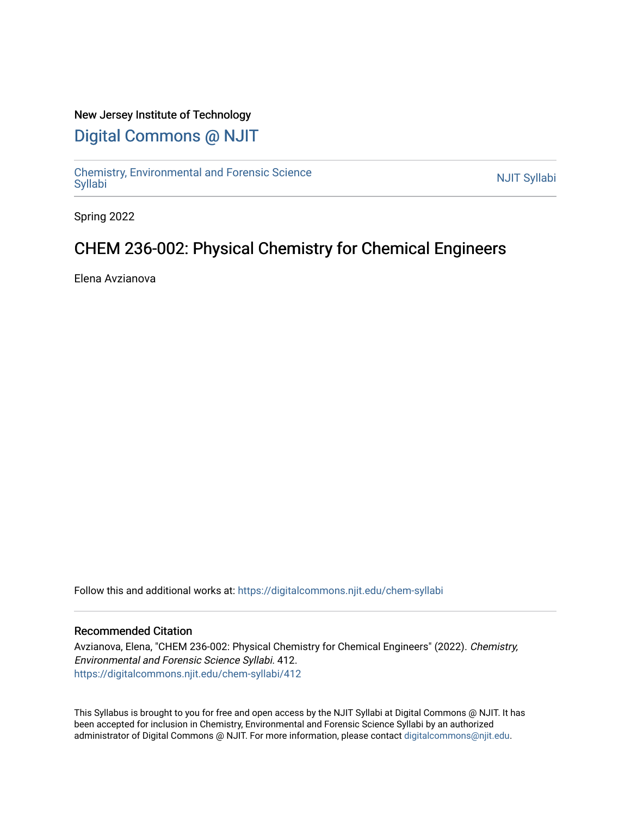#### New Jersey Institute of Technology

## [Digital Commons @ NJIT](https://digitalcommons.njit.edu/)

Chemistry, Environmental and Forensic Science<br>Syllabi

Spring 2022

## CHEM 236-002: Physical Chemistry for Chemical Engineers

Elena Avzianova

Follow this and additional works at: [https://digitalcommons.njit.edu/chem-syllabi](https://digitalcommons.njit.edu/chem-syllabi?utm_source=digitalcommons.njit.edu%2Fchem-syllabi%2F412&utm_medium=PDF&utm_campaign=PDFCoverPages) 

#### Recommended Citation

Avzianova, Elena, "CHEM 236-002: Physical Chemistry for Chemical Engineers" (2022). Chemistry, Environmental and Forensic Science Syllabi. 412. [https://digitalcommons.njit.edu/chem-syllabi/412](https://digitalcommons.njit.edu/chem-syllabi/412?utm_source=digitalcommons.njit.edu%2Fchem-syllabi%2F412&utm_medium=PDF&utm_campaign=PDFCoverPages) 

This Syllabus is brought to you for free and open access by the NJIT Syllabi at Digital Commons @ NJIT. It has been accepted for inclusion in Chemistry, Environmental and Forensic Science Syllabi by an authorized administrator of Digital Commons @ NJIT. For more information, please contact [digitalcommons@njit.edu.](mailto:digitalcommons@njit.edu)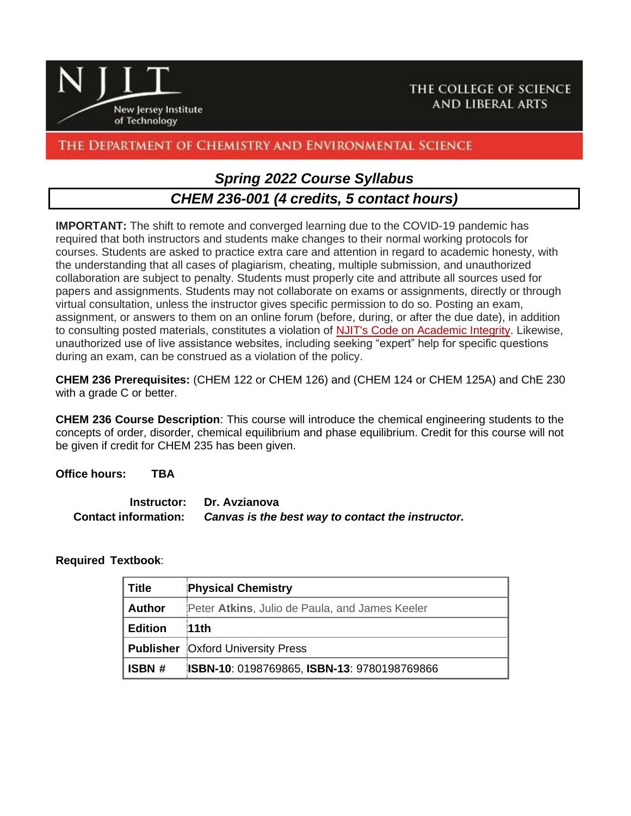

## The Department of Chemistry and Environmental Science

## *Spring 2022 Course Syllabus CHEM 236-001 (4 credits, 5 contact hours)*

**IMPORTANT:** The shift to remote and converged learning due to the COVID-19 pandemic has required that both instructors and students make changes to their normal working protocols for courses. Students are asked to practice extra care and attention in regard to academic honesty, with the understanding that all cases of plagiarism, cheating, multiple submission, and unauthorized collaboration are subject to penalty. Students must properly cite and attribute all sources used for papers and assignments. Students may not collaborate on exams or assignments, directly or through virtual consultation, unless the instructor gives specific permission to do so. Posting an exam, assignment, or answers to them on an online forum (before, during, or after the due date), in addition to consulting posted materials, constitutes a violation of [NJIT's Code on Academic Integrity.](https://www5.njit.edu/middlestates/sites/middlestates/files/lcms/docs/2012/academic-integrity-code.pdf) Likewise, unauthorized use of live assistance websites, including seeking "expert" help for specific questions during an exam, can be construed as a violation of the policy.

**CHEM 236 Prerequisites:** (CHEM 122 or CHEM 126) and (CHEM 124 or CHEM 125A) and ChE 230 with a grade C or better.

**CHEM 236 Course Description**: This course will introduce the chemical engineering students to the concepts of order, disorder, chemical equilibrium and phase equilibrium. Credit for this course will not be given if credit for CHEM 235 has been given.

**Office hours: TBA**

**Instructor: Dr. Avzianova Contact information:** *Canvas is the best way to contact the instructor.*

#### **Required Textbook**:

| <b>Title</b>   | <b>Physical Chemistry</b>                          |
|----------------|----------------------------------------------------|
| <b>Author</b>  | Peter Atkins, Julio de Paula, and James Keeler     |
| <b>Edition</b> | 11th                                               |
|                | <b>Publisher</b> Oxford University Press           |
| ISBN #         | <b>ISBN-10: 0198769865, ISBN-13: 9780198769866</b> |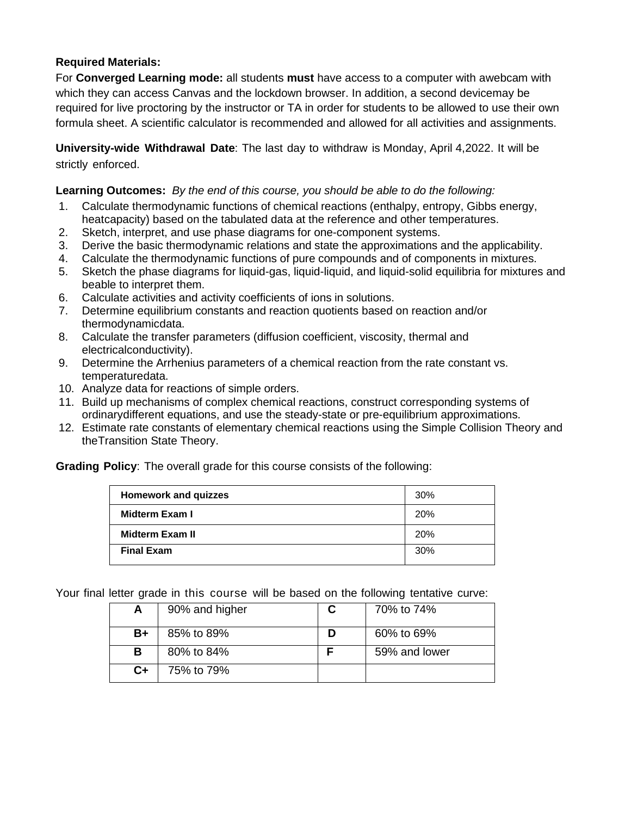### **Required Materials:**

For **Converged Learning mode:** all students **must** have access to a computer with awebcam with which they can access Canvas and the lockdown browser. In addition, a second devicemay be required for live proctoring by the instructor or TA in order for students to be allowed to use their own formula sheet. A scientific calculator is recommended and allowed for all activities and assignments.

**University-wide Withdrawal Date**: The last day to withdraw is Monday, April 4,2022. It will be strictly enforced.

#### **Learning Outcomes:** *By the end of this course, you should be able to do the following:*

- 1. Calculate thermodynamic functions of chemical reactions (enthalpy, entropy, Gibbs energy, heatcapacity) based on the tabulated data at the reference and other temperatures.
- 2. Sketch, interpret, and use phase diagrams for one-component systems.
- 3. Derive the basic thermodynamic relations and state the approximations and the applicability.
- 4. Calculate the thermodynamic functions of pure compounds and of components in mixtures.
- 5. Sketch the phase diagrams for liquid-gas, liquid-liquid, and liquid-solid equilibria for mixtures and beable to interpret them.
- 6. Calculate activities and activity coefficients of ions in solutions.
- 7. Determine equilibrium constants and reaction quotients based on reaction and/or thermodynamicdata.
- 8. Calculate the transfer parameters (diffusion coefficient, viscosity, thermal and electricalconductivity).
- 9. Determine the Arrhenius parameters of a chemical reaction from the rate constant vs. temperaturedata.
- 10. Analyze data for reactions of simple orders.
- 11. Build up mechanisms of complex chemical reactions, construct corresponding systems of ordinarydifferent equations, and use the steady-state or pre-equilibrium approximations.
- 12. Estimate rate constants of elementary chemical reactions using the Simple Collision Theory and theTransition State Theory.

**Grading Policy**: The overall grade for this course consists of the following:

| <b>Homework and quizzes</b> | 30%        |
|-----------------------------|------------|
| Midterm Exam I              | 20%        |
| <b>Midterm Exam II</b>      | <b>20%</b> |
| <b>Final Exam</b>           | 30%        |

Your final letter grade in this course will be based on the following tentative curve:

| A  | 90% and higher | 70% to 74%    |
|----|----------------|---------------|
| B+ | 85% to 89%     | 60% to 69%    |
| в  | 80% to 84%     | 59% and lower |
| C+ | 75% to 79%     |               |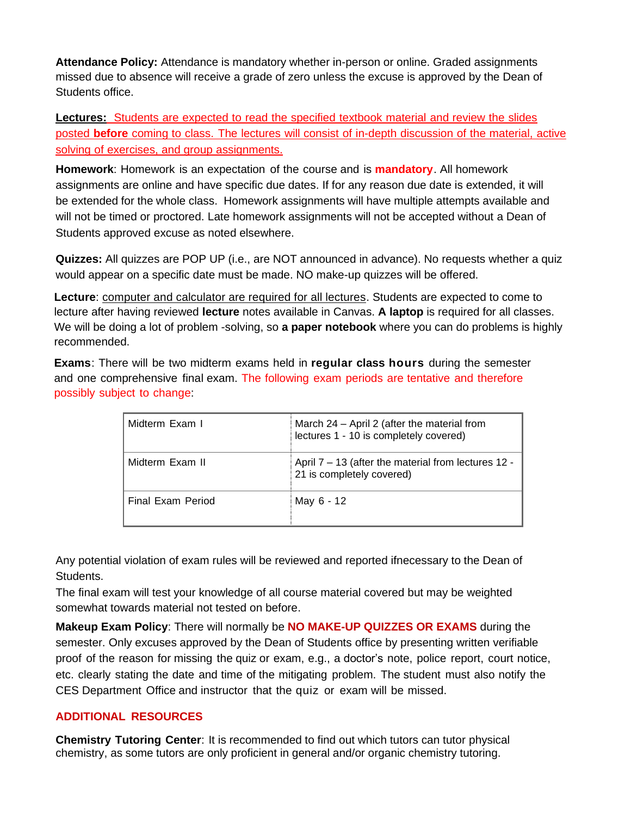**Attendance Policy:** Attendance is mandatory whether in-person or online. Graded assignments missed due to absence will receive a grade of zero unless the excuse is approved by the Dean of Students office.

**Lectures:** Students are expected to read the specified textbook material and review the slides posted **before** coming to class. The lectures will consist of in-depth discussion of the material, active solving of exercises, and group assignments.

**Homework**: Homework is an expectation of the course and is **mandatory**. All homework assignments are online and have specific due dates. If for any reason due date is extended, it will be extended for the whole class. Homework assignments will have multiple attempts available and will not be timed or proctored. Late homework assignments will not be accepted without a Dean of Students approved excuse as noted elsewhere.

**Quizzes:** All quizzes are POP UP (i.e., are NOT announced in advance). No requests whether a quiz would appear on a specific date must be made. NO make-up quizzes will be offered.

**Lecture**: computer and calculator are required for all lectures. Students are expected to come to lecture after having reviewed **lecture** notes available in Canvas. **A laptop** is required for all classes. We will be doing a lot of problem -solving, so **a paper notebook** where you can do problems is highly recommended.

**Exams**: There will be two midterm exams held in **regular class hours** during the semester and one comprehensive final exam. The following exam periods are tentative and therefore possibly subject to change:

| Midterm Exam I    | March 24 - April 2 (after the material from<br>lectures 1 - 10 is completely covered) |
|-------------------|---------------------------------------------------------------------------------------|
| Midterm Exam II   | April 7 – 13 (after the material from lectures 12 -<br>21 is completely covered)      |
| Final Exam Period | May 6 - 12                                                                            |

Any potential violation of exam rules will be reviewed and reported ifnecessary to the Dean of Students.

The final exam will test your knowledge of all course material covered but may be weighted somewhat towards material not tested on before.

**Makeup Exam Policy**: There will normally be **NO MAKE-UP QUIZZES OR EXAMS** during the semester. Only excuses approved by the Dean of Students office by presenting written verifiable proof of the reason for missing the quiz or exam, e.g., a doctor's note, police report, court notice, etc. clearly stating the date and time of the mitigating problem. The student must also notify the CES Department Office and instructor that the quiz or exam will be missed.

### **ADDITIONAL RESOURCES**

**Chemistry Tutoring Center**: It is recommended to find out which tutors can tutor physical chemistry, as some tutors are only proficient in general and/or organic chemistry tutoring.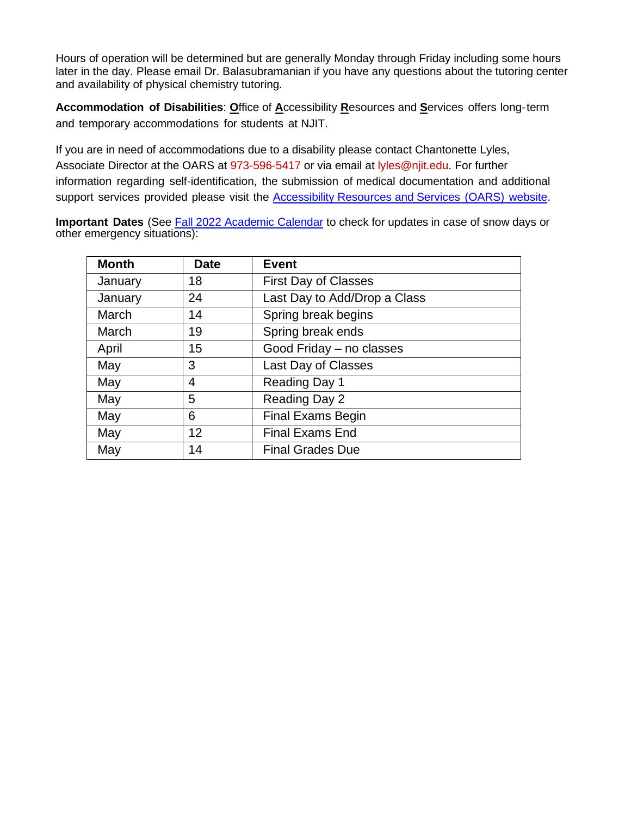Hours of operation will be determined but are generally Monday through Friday including some hours later in the day. Please email Dr. Balasubramanian if you have any questions about the tutoring center and availability of physical chemistry tutoring.

**Accommodation of Disabilities**: **O**ffice of **A**ccessibility **R**esources and **S**ervices offers long-term and temporary accommodations for students at NJIT.

If you are in need of accommodations due to a disability please contact Chantonette Lyles, Associate Director at the OARS at 973-596-5417 or via email at [lyles@njit.edu.](mailto:lyles@njit.edu) For further information regarding self-identification, the submission of medical documentation and additional support services provided please visit the [Accessibility](https://www.njit.edu/studentsuccess/accessibility) Resources and Services (OARS) website.

**Important Dates** (See Fall 2022 Academic Calendar to check for updates in case of snow days or other emergency situations):

| <b>Month</b> | <b>Date</b> | Event                        |
|--------------|-------------|------------------------------|
| January      | 18          | <b>First Day of Classes</b>  |
| January      | 24          | Last Day to Add/Drop a Class |
| March        | 14          | Spring break begins          |
| March        | 19          | Spring break ends            |
| April        | 15          | Good Friday - no classes     |
| May          | 3           | Last Day of Classes          |
| May          | 4           | Reading Day 1                |
| May          | 5           | Reading Day 2                |
| May          | 6           | <b>Final Exams Begin</b>     |
| May          | 12          | <b>Final Exams End</b>       |
| May          | 14          | <b>Final Grades Due</b>      |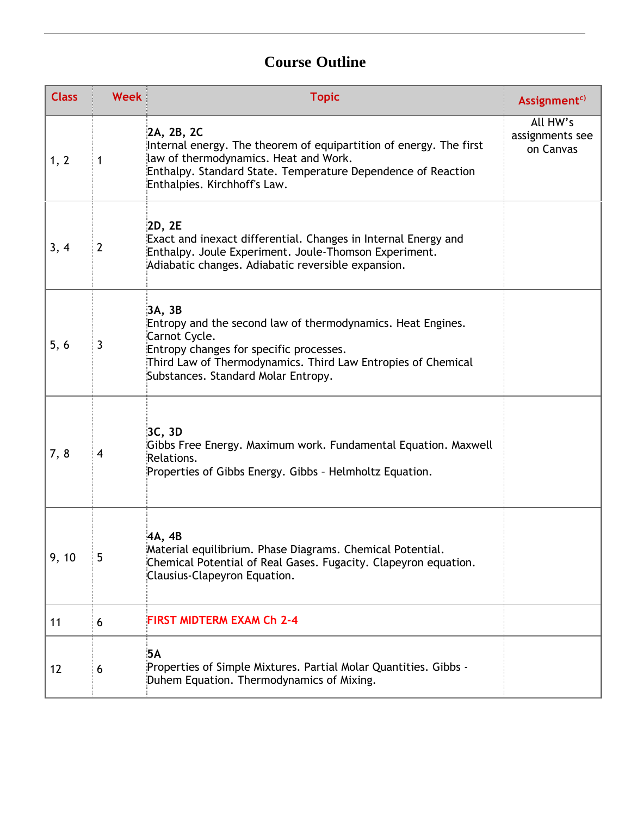# **Course Outline**

| <b>Class</b> | <b>Week</b>    | <b>Topic</b>                                                                                                                                                                                                                             | Assignment <sup>c)</sup>                 |
|--------------|----------------|------------------------------------------------------------------------------------------------------------------------------------------------------------------------------------------------------------------------------------------|------------------------------------------|
| 1, 2         | 1              | 2A, 2B, 2C<br>Internal energy. The theorem of equipartition of energy. The first<br>law of thermodynamics. Heat and Work.<br>Enthalpy. Standard State. Temperature Dependence of Reaction<br>Enthalpies. Kirchhoff's Law.                | All HW's<br>assignments see<br>on Canvas |
| 3, 4         | $\overline{2}$ | 2D, 2E<br>Exact and inexact differential. Changes in Internal Energy and<br>Enthalpy. Joule Experiment. Joule-Thomson Experiment.<br>Adiabatic changes. Adiabatic reversible expansion.                                                  |                                          |
| 5, 6         | 3              | 3A, 3B<br>Entropy and the second law of thermodynamics. Heat Engines.<br>Carnot Cycle.<br>Entropy changes for specific processes.<br>Third Law of Thermodynamics. Third Law Entropies of Chemical<br>Substances. Standard Molar Entropy. |                                          |
| 7, 8         | 4              | 3C, 3D<br>Gibbs Free Energy. Maximum work. Fundamental Equation. Maxwell<br>Relations.<br>Properties of Gibbs Energy. Gibbs - Helmholtz Equation.                                                                                        |                                          |
| 9, 10        | 5              | 4A, 4B<br>Material equilibrium. Phase Diagrams. Chemical Potential.<br>Chemical Potential of Real Gases. Fugacity. Clapeyron equation.<br>Clausius-Clapeyron Equation.                                                                   |                                          |
| 11           | 6              | <b>FIRST MIDTERM EXAM Ch 2-4</b>                                                                                                                                                                                                         |                                          |
| 12           | 6              | 5А<br>Properties of Simple Mixtures. Partial Molar Quantities. Gibbs -<br>Duhem Equation. Thermodynamics of Mixing.                                                                                                                      |                                          |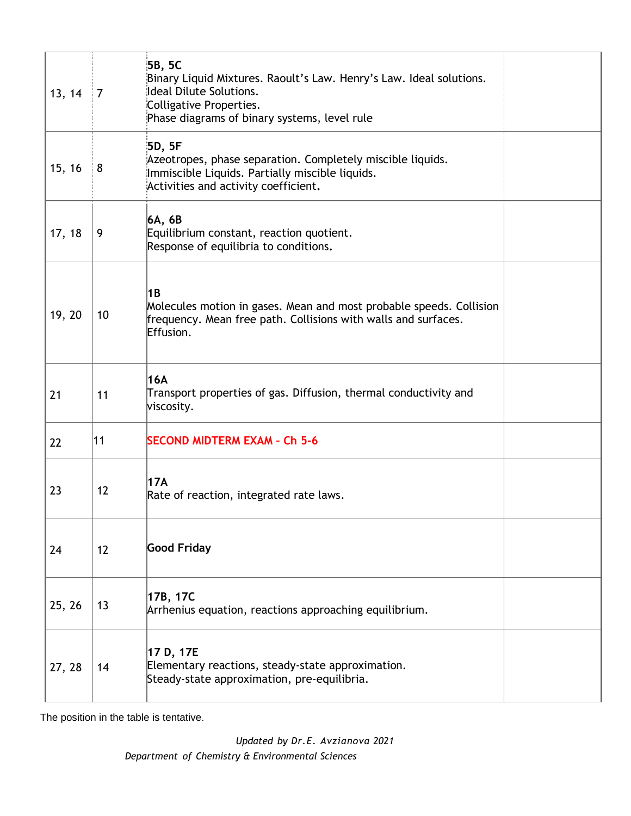| 13, 14 | $\overline{7}$ | 5B, 5C<br>Binary Liquid Mixtures. Raoult's Law. Henry's Law. Ideal solutions.<br>Ideal Dilute Solutions.<br>Colligative Properties.<br>Phase diagrams of binary systems, level rule |  |
|--------|----------------|-------------------------------------------------------------------------------------------------------------------------------------------------------------------------------------|--|
| 15, 16 | 8              | 5D, 5F<br>Azeotropes, phase separation. Completely miscible liquids.<br>Immiscible Liquids. Partially miscible liquids.<br>Activities and activity coefficient.                     |  |
| 17, 18 | 9              | 6A, 6B<br>Equilibrium constant, reaction quotient.<br>Response of equilibria to conditions.                                                                                         |  |
| 19, 20 | 10             | 1B<br>Molecules motion in gases. Mean and most probable speeds. Collision<br>frequency. Mean free path. Collisions with walls and surfaces.<br>Effusion.                            |  |
| 21     | 11             | 16A<br>Transport properties of gas. Diffusion, thermal conductivity and<br>viscosity.                                                                                               |  |
| 22     | 11             | <b>SECOND MIDTERM EXAM - Ch 5-6</b>                                                                                                                                                 |  |
| 23     | 12             | 17A<br>Rate of reaction, integrated rate laws.                                                                                                                                      |  |
| 24     | 12             | <b>Good Friday</b>                                                                                                                                                                  |  |
| 25, 26 | 13             | 17B, 17C<br>Arrhenius equation, reactions approaching equilibrium.                                                                                                                  |  |
| 27, 28 | 14             | 17 D, 17E<br>Elementary reactions, steady-state approximation.<br>Steady-state approximation, pre-equilibria.                                                                       |  |

The position in the table is tentative.